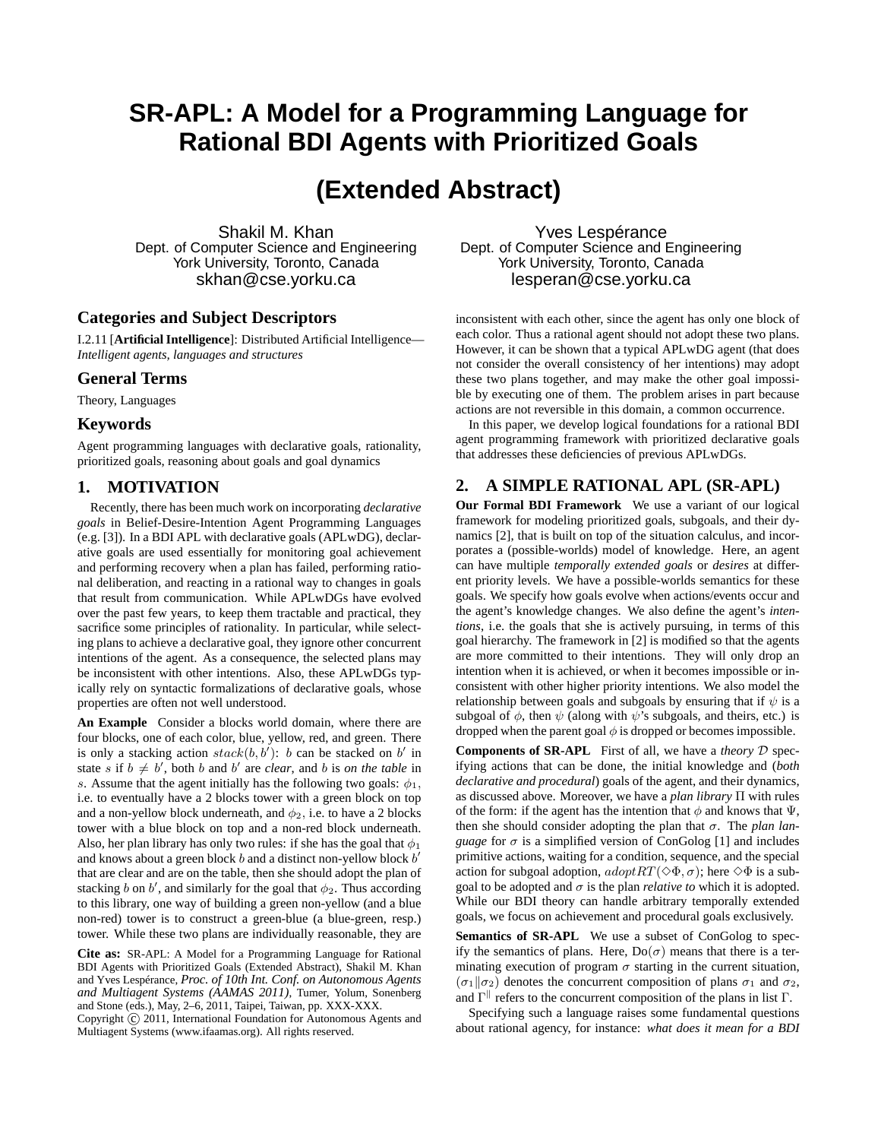# **SR-APL: A Model for a Programming Language for Rational BDI Agents with Prioritized Goals**

# **(Extended Abstract)**

Shakil M. Khan Dept. of Computer Science and Engineering York University, Toronto, Canada skhan@cse.yorku.ca

## **Categories and Subject Descriptors**

I.2.11 [**Artificial Intelligence**]: Distributed Artificial Intelligence— *Intelligent agents, languages and structures*

### **General Terms**

Theory, Languages

#### **Keywords**

Agent programming languages with declarative goals, rationality, prioritized goals, reasoning about goals and goal dynamics

#### **1. MOTIVATION**

Recently, there has been much work on incorporating *declarative goals* in Belief-Desire-Intention Agent Programming Languages (e.g. [3]). In a BDI APL with declarative goals (APLwDG), declarative goals are used essentially for monitoring goal achievement and performing recovery when a plan has failed, performing rational deliberation, and reacting in a rational way to changes in goals that result from communication. While APLwDGs have evolved over the past few years, to keep them tractable and practical, they sacrifice some principles of rationality. In particular, while selecting plans to achieve a declarative goal, they ignore other concurrent intentions of the agent. As a consequence, the selected plans may be inconsistent with other intentions. Also, these APLwDGs typically rely on syntactic formalizations of declarative goals, whose properties are often not well understood.

**An Example** Consider a blocks world domain, where there are four blocks, one of each color, blue, yellow, red, and green. There is only a stacking action  $stack(b, b')$ : b can be stacked on b' in state s if  $b \neq b'$ , both b and b' are *clear*, and b is *on the table* in s. Assume that the agent initially has the following two goals:  $\phi_1$ , i.e. to eventually have a 2 blocks tower with a green block on top and a non-yellow block underneath, and  $\phi_2$ , i.e. to have a 2 blocks tower with a blue block on top and a non-red block underneath. Also, her plan library has only two rules: if she has the goal that  $\phi_1$ and knows about a green block  $b$  and a distinct non-yellow block  $b'$ that are clear and are on the table, then she should adopt the plan of stacking b on b', and similarly for the goal that  $\phi_2$ . Thus according to this library, one way of building a green non-yellow (and a blue non-red) tower is to construct a green-blue (a blue-green, resp.) tower. While these two plans are individually reasonable, they are

**Cite as:** SR-APL: A Model for a Programming Language for Rational BDI Agents with Prioritized Goals (Extended Abstract), Shakil M. Khan and Yves Lespérance, *Proc. of 10th Int. Conf. on Autonomous Agents and Multiagent Systems (AAMAS 2011)*, Tumer, Yolum, Sonenberg and Stone (eds.), May, 2–6, 2011, Taipei, Taiwan, pp. XXX-XXX.

Copyright (C) 2011, International Foundation for Autonomous Agents and Multiagent Systems (www.ifaamas.org). All rights reserved.

Yves Lespérance Dept. of Computer Science and Engineering York University, Toronto, Canada lesperan@cse.yorku.ca

inconsistent with each other, since the agent has only one block of each color. Thus a rational agent should not adopt these two plans. However, it can be shown that a typical APLwDG agent (that does not consider the overall consistency of her intentions) may adopt these two plans together, and may make the other goal impossible by executing one of them. The problem arises in part because actions are not reversible in this domain, a common occurrence.

In this paper, we develop logical foundations for a rational BDI agent programming framework with prioritized declarative goals that addresses these deficiencies of previous APLwDGs.

### **2. A SIMPLE RATIONAL APL (SR-APL)**

**Our Formal BDI Framework** We use a variant of our logical framework for modeling prioritized goals, subgoals, and their dynamics [2], that is built on top of the situation calculus, and incorporates a (possible-worlds) model of knowledge. Here, an agent can have multiple *temporally extended goals* or *desires* at different priority levels. We have a possible-worlds semantics for these goals. We specify how goals evolve when actions/events occur and the agent's knowledge changes. We also define the agent's *intentions*, i.e. the goals that she is actively pursuing, in terms of this goal hierarchy. The framework in [2] is modified so that the agents are more committed to their intentions. They will only drop an intention when it is achieved, or when it becomes impossible or inconsistent with other higher priority intentions. We also model the relationship between goals and subgoals by ensuring that if  $\psi$  is a subgoal of  $\phi$ , then  $\psi$  (along with  $\psi$ 's subgoals, and theirs, etc.) is dropped when the parent goal  $\phi$  is dropped or becomes impossible.

**Components of SR-APL** First of all, we have a *theory* D specifying actions that can be done, the initial knowledge and (*both declarative and procedural*) goals of the agent, and their dynamics, as discussed above. Moreover, we have a *plan library* Π with rules of the form: if the agent has the intention that  $\phi$  and knows that  $\Psi$ , then she should consider adopting the plan that  $\sigma$ . The *plan language* for  $\sigma$  is a simplified version of ConGolog [1] and includes primitive actions, waiting for a condition, sequence, and the special action for subgoal adoption,  $adoptRT(\Diamond \Phi, \sigma)$ ; here  $\Diamond \Phi$  is a subgoal to be adopted and  $\sigma$  is the plan *relative to* which it is adopted. While our BDI theory can handle arbitrary temporally extended goals, we focus on achievement and procedural goals exclusively.

**Semantics of SR-APL** We use a subset of ConGolog to specify the semantics of plans. Here,  $Do(\sigma)$  means that there is a terminating execution of program  $\sigma$  starting in the current situation,  $(\sigma_1\|\sigma_2)$  denotes the concurrent composition of plans  $\sigma_1$  and  $\sigma_2$ , and  $\Gamma^{\parallel}$  refers to the concurrent composition of the plans in list  $\Gamma$ .

Specifying such a language raises some fundamental questions about rational agency, for instance: *what does it mean for a BDI*